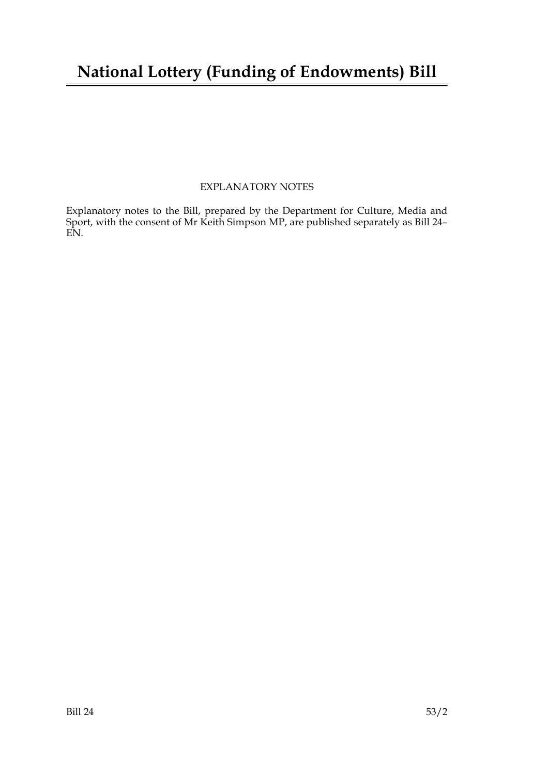### **National Lottery (Funding of Endowments) Bill**

#### EXPLANATORY NOTES

Explanatory notes to the Bill, prepared by the Department for Culture, Media and Sport, with the consent of Mr Keith Simpson MP, are published separately as Bill 24– EN.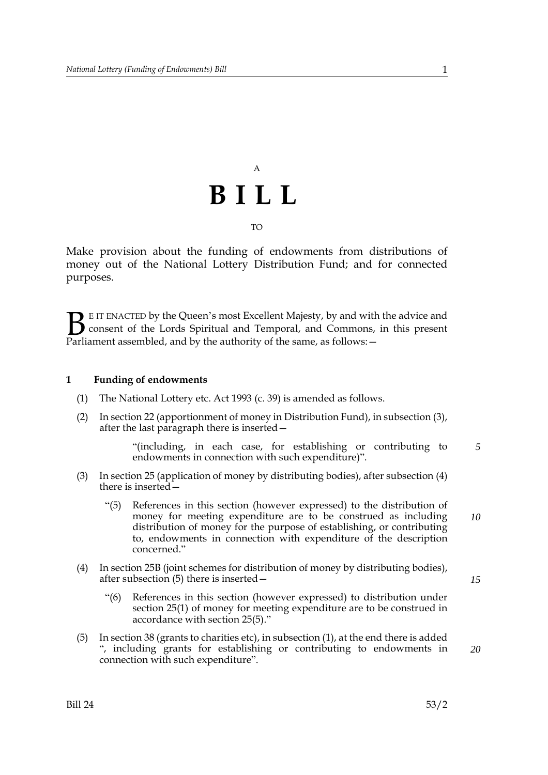## A **BILL** TO

Make provision about the funding of endowments from distributions of money out of the National Lottery Distribution Fund; and for connected purposes.

E IT ENACTED by the Queen's most Excellent Majesty, by and with the advice and consent of the Lords Spiritual and Temporal, and Commons, in this present Parliament assembled, and by the authority of the same, as follows:  $\mathbf{B}_{\text{rel}}$ 

#### **1 Funding of endowments**

- (1) The National Lottery etc. Act 1993 (c. 39) is amended as follows.
- (2) In section 22 (apportionment of money in Distribution Fund), in subsection (3), after the last paragraph there is inserted—

"(including, in each case, for establishing or contributing to endowments in connection with such expenditure)". *5*

- (3) In section 25 (application of money by distributing bodies), after subsection (4) there is inserted—
	- "(5) References in this section (however expressed) to the distribution of money for meeting expenditure are to be construed as including distribution of money for the purpose of establishing, or contributing to, endowments in connection with expenditure of the description concerned." *10*
- (4) In section 25B (joint schemes for distribution of money by distributing bodies), after subsection (5) there is inserted—
	- "(6) References in this section (however expressed) to distribution under section 25(1) of money for meeting expenditure are to be construed in accordance with section 25(5)."
- (5) In section 38 (grants to charities etc), in subsection (1), at the end there is added ", including grants for establishing or contributing to endowments in connection with such expenditure".

*15*

*20*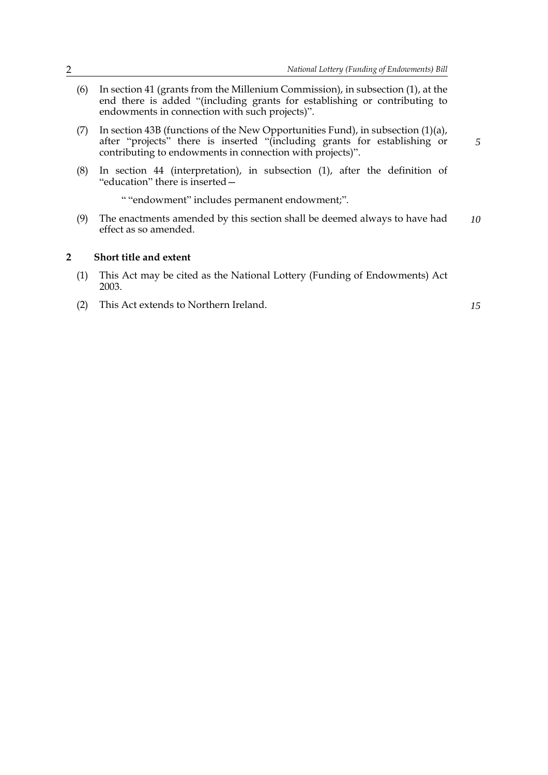- (6) In section 41 (grants from the Millenium Commission), in subsection (1), at the end there is added "(including grants for establishing or contributing to endowments in connection with such projects)".
- (7) In section 43B (functions of the New Opportunities Fund), in subsection (1)(a), after "projects" there is inserted "(including grants for establishing or contributing to endowments in connection with projects)".
- (8) In section 44 (interpretation), in subsection (1), after the definition of "education" there is inserted—

" "endowment" includes permanent endowment;".

(9) The enactments amended by this section shall be deemed always to have had effect as so amended. *10*

#### **2 Short title and extent**

- (1) This Act may be cited as the National Lottery (Funding of Endowments) Act 2003.
- (2) This Act extends to Northern Ireland.

*15*

*5*